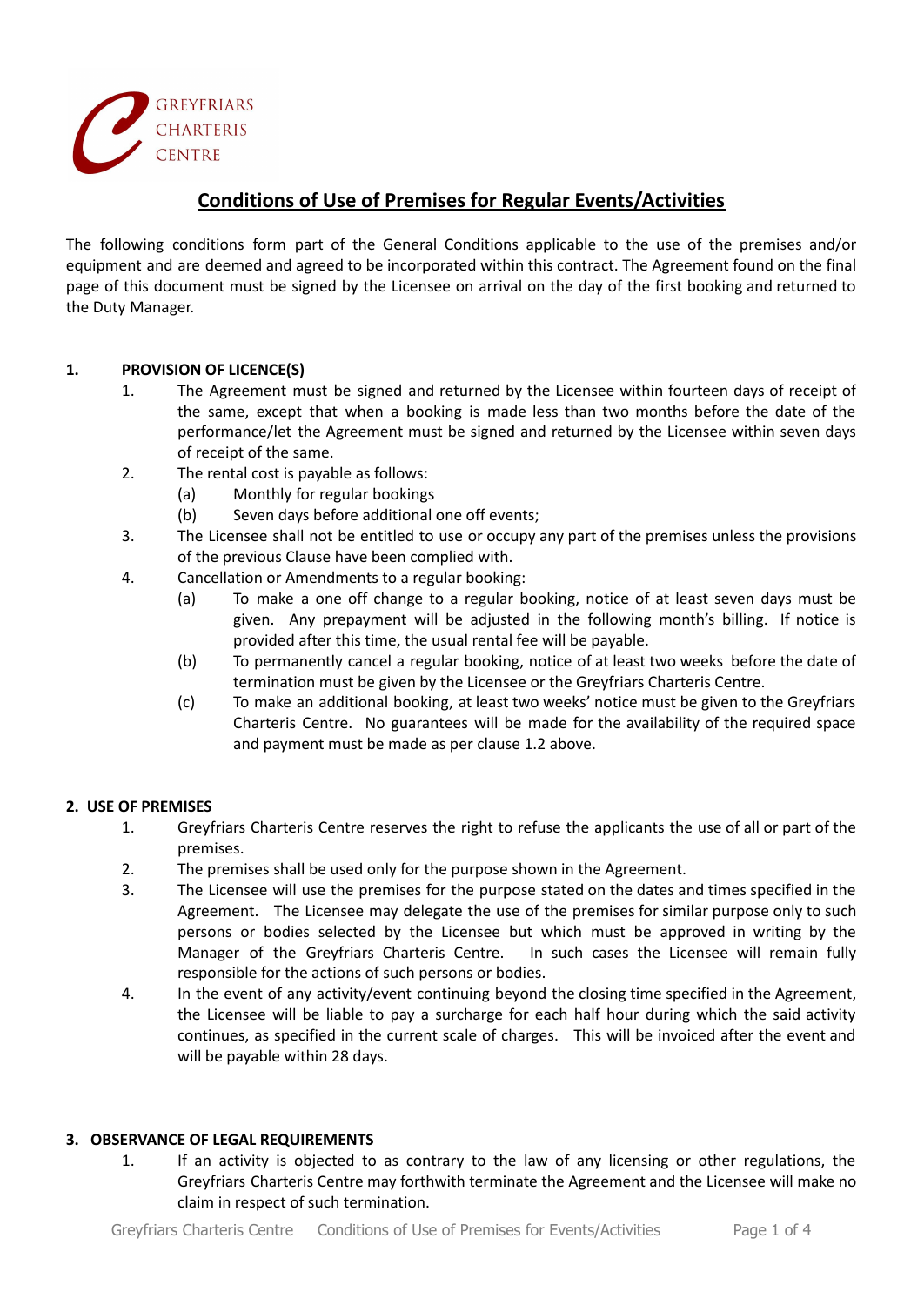

# **Conditions of Use of Premises for Regular Events/Activities**

The following conditions form part of the General Conditions applicable to the use of the premises and/or equipment and are deemed and agreed to be incorporated within this contract. The Agreement found on the final page of this document must be signed by the Licensee on arrival on the day of the first booking and returned to the Duty Manager.

# **1. PROVISION OF LICENCE(S)**

- 1. The Agreement must be signed and returned by the Licensee within fourteen days of receipt of the same, except that when a booking is made less than two months before the date of the performance/let the Agreement must be signed and returned by the Licensee within seven days of receipt of the same.
- 2. The rental cost is payable as follows:
	- (a) Monthly for regular bookings
	- (b) Seven days before additional one off events;
- 3. The Licensee shall not be entitled to use or occupy any part of the premises unless the provisions of the previous Clause have been complied with.
- 4. Cancellation or Amendments to a regular booking:
	- (a) To make a one off change to a regular booking, notice of at least seven days must be given. Any prepayment will be adjusted in the following month's billing. If notice is provided after this time, the usual rental fee will be payable.
	- (b) To permanently cancel a regular booking, notice of at least two weeks before the date of termination must be given by the Licensee or the Greyfriars Charteris Centre.
	- (c) To make an additional booking, at least two weeks' notice must be given to the Greyfriars Charteris Centre. No guarantees will be made for the availability of the required space and payment must be made as per clause 1.2 above.

#### **2. USE OF PREMISES**

- 1. Greyfriars Charteris Centre reserves the right to refuse the applicants the use of all or part of the premises.
- 2. The premises shall be used only for the purpose shown in the Agreement.
- 3. The Licensee will use the premises for the purpose stated on the dates and times specified in the Agreement. The Licensee may delegate the use of the premises for similar purpose only to such persons or bodies selected by the Licensee but which must be approved in writing by the Manager of the Greyfriars Charteris Centre. In such cases the Licensee will remain fully responsible for the actions of such persons or bodies.
- 4. In the event of any activity/event continuing beyond the closing time specified in the Agreement, the Licensee will be liable to pay a surcharge for each half hour during which the said activity continues, as specified in the current scale of charges. This will be invoiced after the event and will be payable within 28 days.

#### **3. OBSERVANCE OF LEGAL REQUIREMENTS**

1. If an activity is objected to as contrary to the law of any licensing or other regulations, the Greyfriars Charteris Centre may forthwith terminate the Agreement and the Licensee will make no claim in respect of such termination.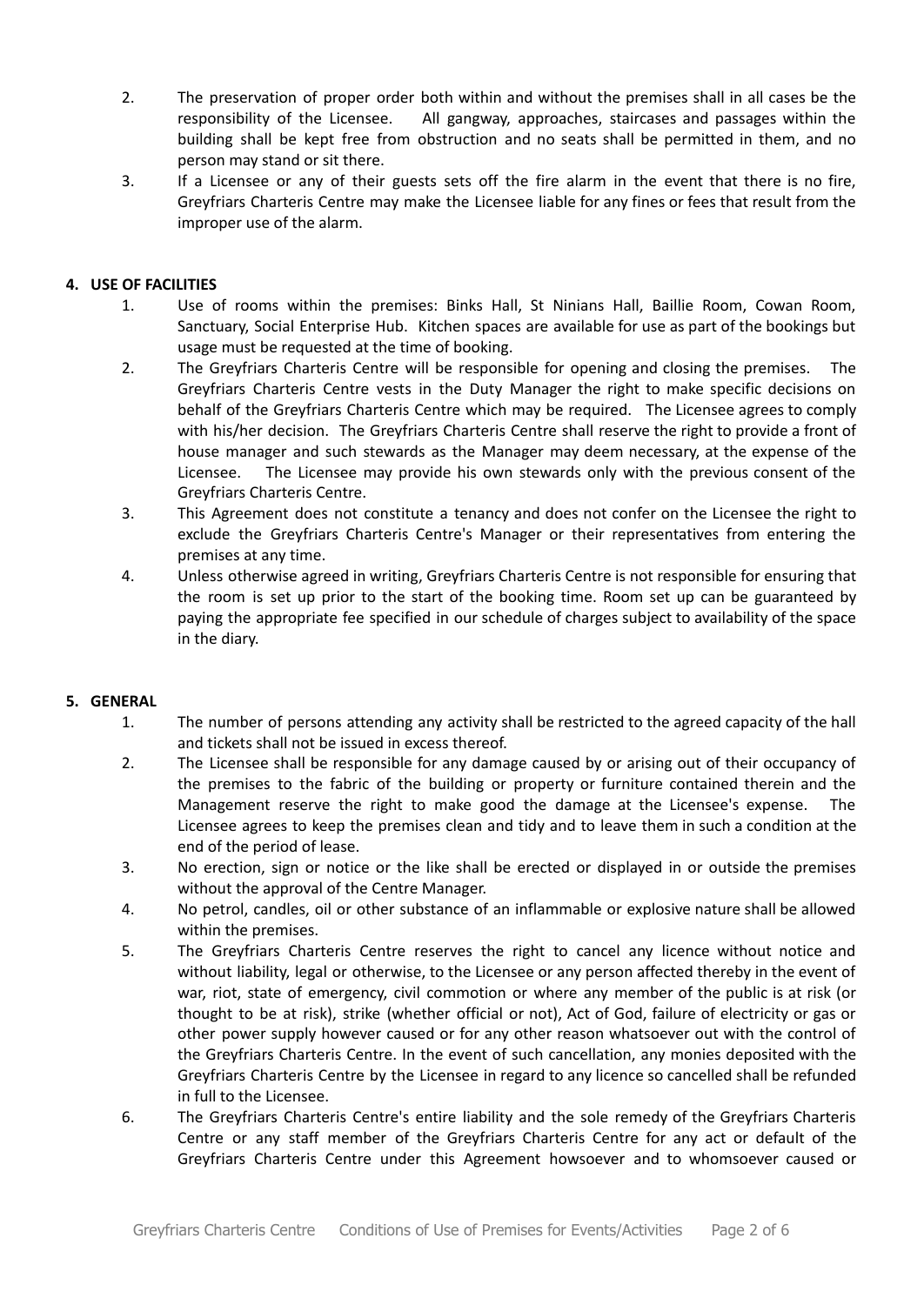- 2. The preservation of proper order both within and without the premises shall in all cases be the responsibility of the Licensee. All gangway, approaches, staircases and passages within the building shall be kept free from obstruction and no seats shall be permitted in them, and no person may stand or sit there.
- 3. If a Licensee or any of their guests sets off the fire alarm in the event that there is no fire, Greyfriars Charteris Centre may make the Licensee liable for any fines or fees that result from the improper use of the alarm.

# **4. USE OF FACILITIES**

- 1. Use of rooms within the premises: Binks Hall, St Ninians Hall, Baillie Room, Cowan Room, Sanctuary, Social Enterprise Hub. Kitchen spaces are available for use as part of the bookings but usage must be requested at the time of booking.
- 2. The Greyfriars Charteris Centre will be responsible for opening and closing the premises. The Greyfriars Charteris Centre vests in the Duty Manager the right to make specific decisions on behalf of the Greyfriars Charteris Centre which may be required. The Licensee agrees to comply with his/her decision. The Greyfriars Charteris Centre shall reserve the right to provide a front of house manager and such stewards as the Manager may deem necessary, at the expense of the Licensee. The Licensee may provide his own stewards only with the previous consent of the Greyfriars Charteris Centre.
- 3. This Agreement does not constitute a tenancy and does not confer on the Licensee the right to exclude the Greyfriars Charteris Centre's Manager or their representatives from entering the premises at any time.
- 4. Unless otherwise agreed in writing, Greyfriars Charteris Centre is not responsible for ensuring that the room is set up prior to the start of the booking time. Room set up can be guaranteed by paying the appropriate fee specified in our schedule of charges subject to availability of the space in the diary.

# **5. GENERAL**

- 1. The number of persons attending any activity shall be restricted to the agreed capacity of the hall and tickets shall not be issued in excess thereof.
- 2. The Licensee shall be responsible for any damage caused by or arising out of their occupancy of the premises to the fabric of the building or property or furniture contained therein and the Management reserve the right to make good the damage at the Licensee's expense. The Licensee agrees to keep the premises clean and tidy and to leave them in such a condition at the end of the period of lease.
- 3. No erection, sign or notice or the like shall be erected or displayed in or outside the premises without the approval of the Centre Manager.
- 4. No petrol, candles, oil or other substance of an inflammable or explosive nature shall be allowed within the premises.
- 5. The Greyfriars Charteris Centre reserves the right to cancel any licence without notice and without liability, legal or otherwise, to the Licensee or any person affected thereby in the event of war, riot, state of emergency, civil commotion or where any member of the public is at risk (or thought to be at risk), strike (whether official or not), Act of God, failure of electricity or gas or other power supply however caused or for any other reason whatsoever out with the control of the Greyfriars Charteris Centre. In the event of such cancellation, any monies deposited with the Greyfriars Charteris Centre by the Licensee in regard to any licence so cancelled shall be refunded in full to the Licensee.
- 6. The Greyfriars Charteris Centre's entire liability and the sole remedy of the Greyfriars Charteris Centre or any staff member of the Greyfriars Charteris Centre for any act or default of the Greyfriars Charteris Centre under this Agreement howsoever and to whomsoever caused or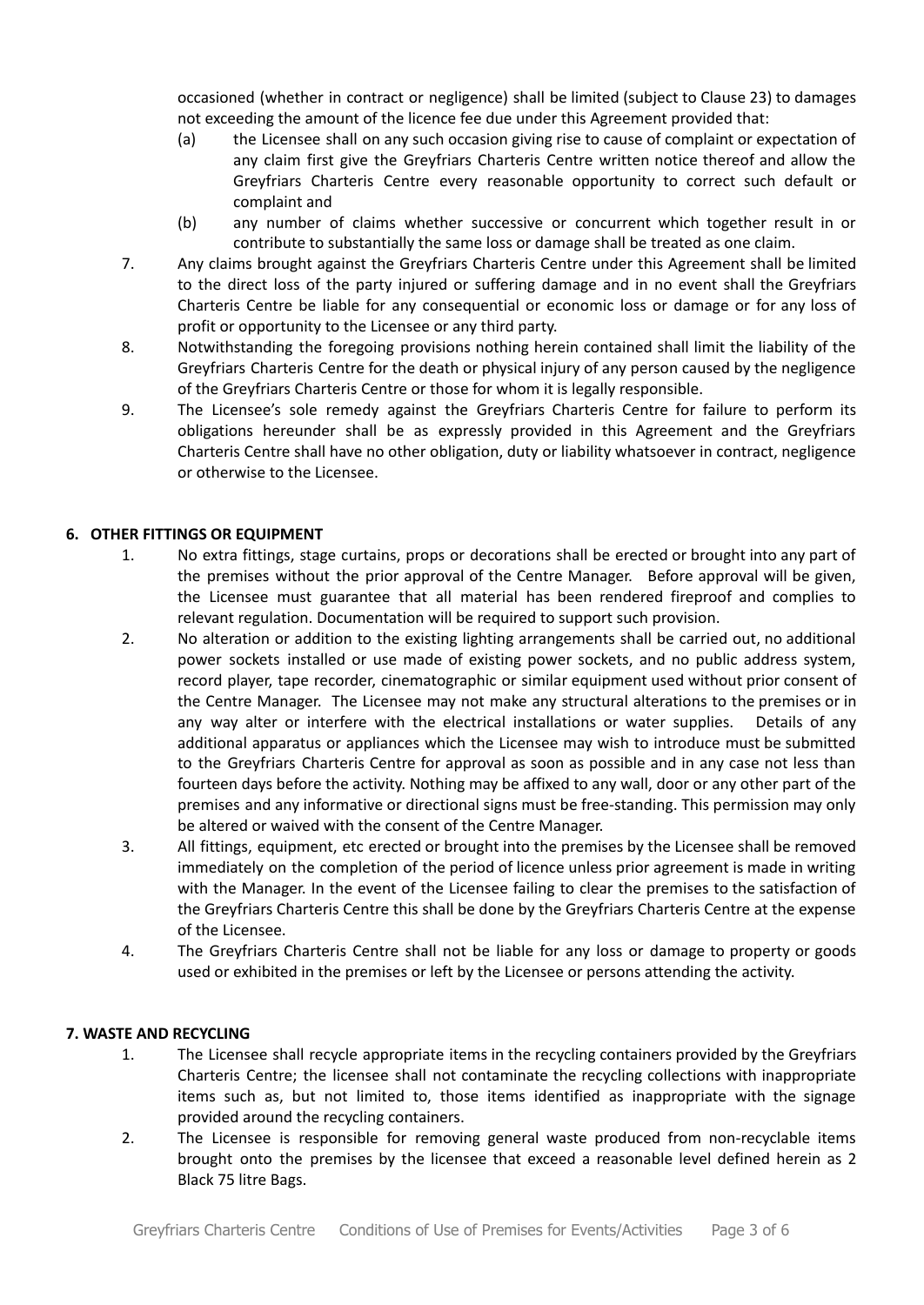occasioned (whether in contract or negligence) shall be limited (subject to Clause 23) to damages not exceeding the amount of the licence fee due under this Agreement provided that:

- (a) the Licensee shall on any such occasion giving rise to cause of complaint or expectation of any claim first give the Greyfriars Charteris Centre written notice thereof and allow the Greyfriars Charteris Centre every reasonable opportunity to correct such default or complaint and
- (b) any number of claims whether successive or concurrent which together result in or contribute to substantially the same loss or damage shall be treated as one claim.
- 7. Any claims brought against the Greyfriars Charteris Centre under this Agreement shall be limited to the direct loss of the party injured or suffering damage and in no event shall the Greyfriars Charteris Centre be liable for any consequential or economic loss or damage or for any loss of profit or opportunity to the Licensee or any third party.
- 8. Notwithstanding the foregoing provisions nothing herein contained shall limit the liability of the Greyfriars Charteris Centre for the death or physical injury of any person caused by the negligence of the Greyfriars Charteris Centre or those for whom it is legally responsible.
- 9. The Licensee's sole remedy against the Greyfriars Charteris Centre for failure to perform its obligations hereunder shall be as expressly provided in this Agreement and the Greyfriars Charteris Centre shall have no other obligation, duty or liability whatsoever in contract, negligence or otherwise to the Licensee.

# **6. OTHER FITTINGS OR EQUIPMENT**

- 1. No extra fittings, stage curtains, props or decorations shall be erected or brought into any part of the premises without the prior approval of the Centre Manager. Before approval will be given, the Licensee must guarantee that all material has been rendered fireproof and complies to relevant regulation. Documentation will be required to support such provision.
- 2. No alteration or addition to the existing lighting arrangements shall be carried out, no additional power sockets installed or use made of existing power sockets, and no public address system, record player, tape recorder, cinematographic or similar equipment used without prior consent of the Centre Manager. The Licensee may not make any structural alterations to the premises or in any way alter or interfere with the electrical installations or water supplies. Details of any additional apparatus or appliances which the Licensee may wish to introduce must be submitted to the Greyfriars Charteris Centre for approval as soon as possible and in any case not less than fourteen days before the activity. Nothing may be affixed to any wall, door or any other part of the premises and any informative or directional signs must be free-standing. This permission may only be altered or waived with the consent of the Centre Manager.
- 3. All fittings, equipment, etc erected or brought into the premises by the Licensee shall be removed immediately on the completion of the period of licence unless prior agreement is made in writing with the Manager. In the event of the Licensee failing to clear the premises to the satisfaction of the Greyfriars Charteris Centre this shall be done by the Greyfriars Charteris Centre at the expense of the Licensee.
- 4. The Greyfriars Charteris Centre shall not be liable for any loss or damage to property or goods used or exhibited in the premises or left by the Licensee or persons attending the activity.

#### **7. WASTE AND RECYCLING**

- 1. The Licensee shall recycle appropriate items in the recycling containers provided by the Greyfriars Charteris Centre; the licensee shall not contaminate the recycling collections with inappropriate items such as, but not limited to, those items identified as inappropriate with the signage provided around the recycling containers.
- 2. The Licensee is responsible for removing general waste produced from non-recyclable items brought onto the premises by the licensee that exceed a reasonable level defined herein as 2 Black 75 litre Bags.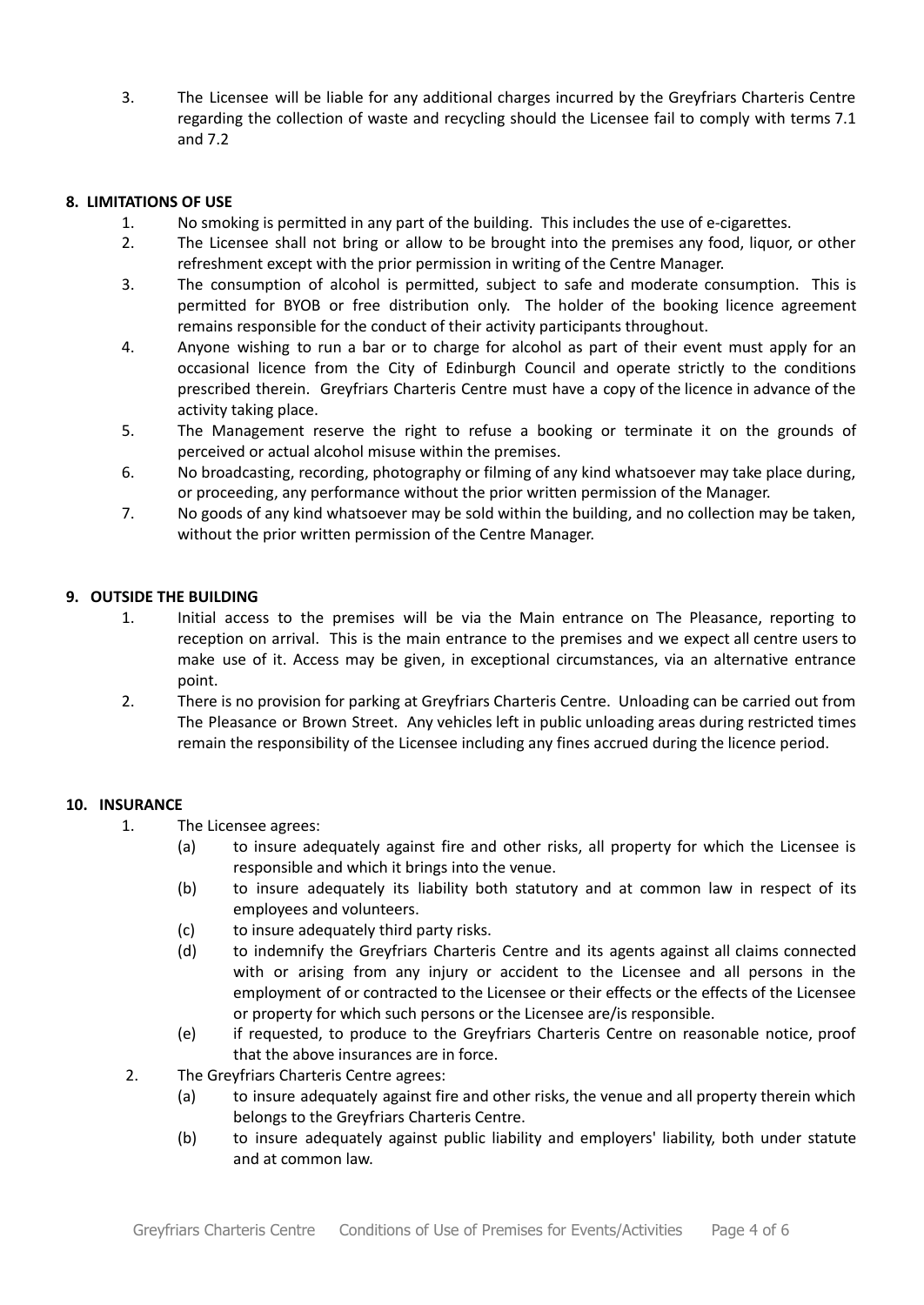3. The Licensee will be liable for any additional charges incurred by the Greyfriars Charteris Centre regarding the collection of waste and recycling should the Licensee fail to comply with terms 7.1 and 7.2

#### **8. LIMITATIONS OF USE**

- 1. No smoking is permitted in any part of the building. This includes the use of e-cigarettes.
- 2. The Licensee shall not bring or allow to be brought into the premises any food, liquor, or other refreshment except with the prior permission in writing of the Centre Manager.
- 3. The consumption of alcohol is permitted, subject to safe and moderate consumption. This is permitted for BYOB or free distribution only. The holder of the booking licence agreement remains responsible for the conduct of their activity participants throughout.
- 4. Anyone wishing to run a bar or to charge for alcohol as part of their event must apply for an occasional licence from the City of Edinburgh Council and operate strictly to the conditions prescribed therein. Greyfriars Charteris Centre must have a copy of the licence in advance of the activity taking place.
- 5. The Management reserve the right to refuse a booking or terminate it on the grounds of perceived or actual alcohol misuse within the premises.
- 6. No broadcasting, recording, photography or filming of any kind whatsoever may take place during, or proceeding, any performance without the prior written permission of the Manager.
- 7. No goods of any kind whatsoever may be sold within the building, and no collection may be taken, without the prior written permission of the Centre Manager.

# **9. OUTSIDE THE BUILDING**

- 1. Initial access to the premises will be via the Main entrance on The Pleasance, reporting to reception on arrival. This is the main entrance to the premises and we expect all centre users to make use of it. Access may be given, in exceptional circumstances, via an alternative entrance point.
- 2. There is no provision for parking at Greyfriars Charteris Centre. Unloading can be carried out from The Pleasance or Brown Street. Any vehicles left in public unloading areas during restricted times remain the responsibility of the Licensee including any fines accrued during the licence period.

#### **10. INSURANCE**

- 1. The Licensee agrees:
	- (a) to insure adequately against fire and other risks, all property for which the Licensee is responsible and which it brings into the venue.
	- (b) to insure adequately its liability both statutory and at common law in respect of its employees and volunteers.
	- (c) to insure adequately third party risks.
	- (d) to indemnify the Greyfriars Charteris Centre and its agents against all claims connected with or arising from any injury or accident to the Licensee and all persons in the employment of or contracted to the Licensee or their effects or the effects of the Licensee or property for which such persons or the Licensee are/is responsible.
	- (e) if requested, to produce to the Greyfriars Charteris Centre on reasonable notice, proof that the above insurances are in force.
- 2. The Greyfriars Charteris Centre agrees:
	- (a) to insure adequately against fire and other risks, the venue and all property therein which belongs to the Greyfriars Charteris Centre.
	- (b) to insure adequately against public liability and employers' liability, both under statute and at common law.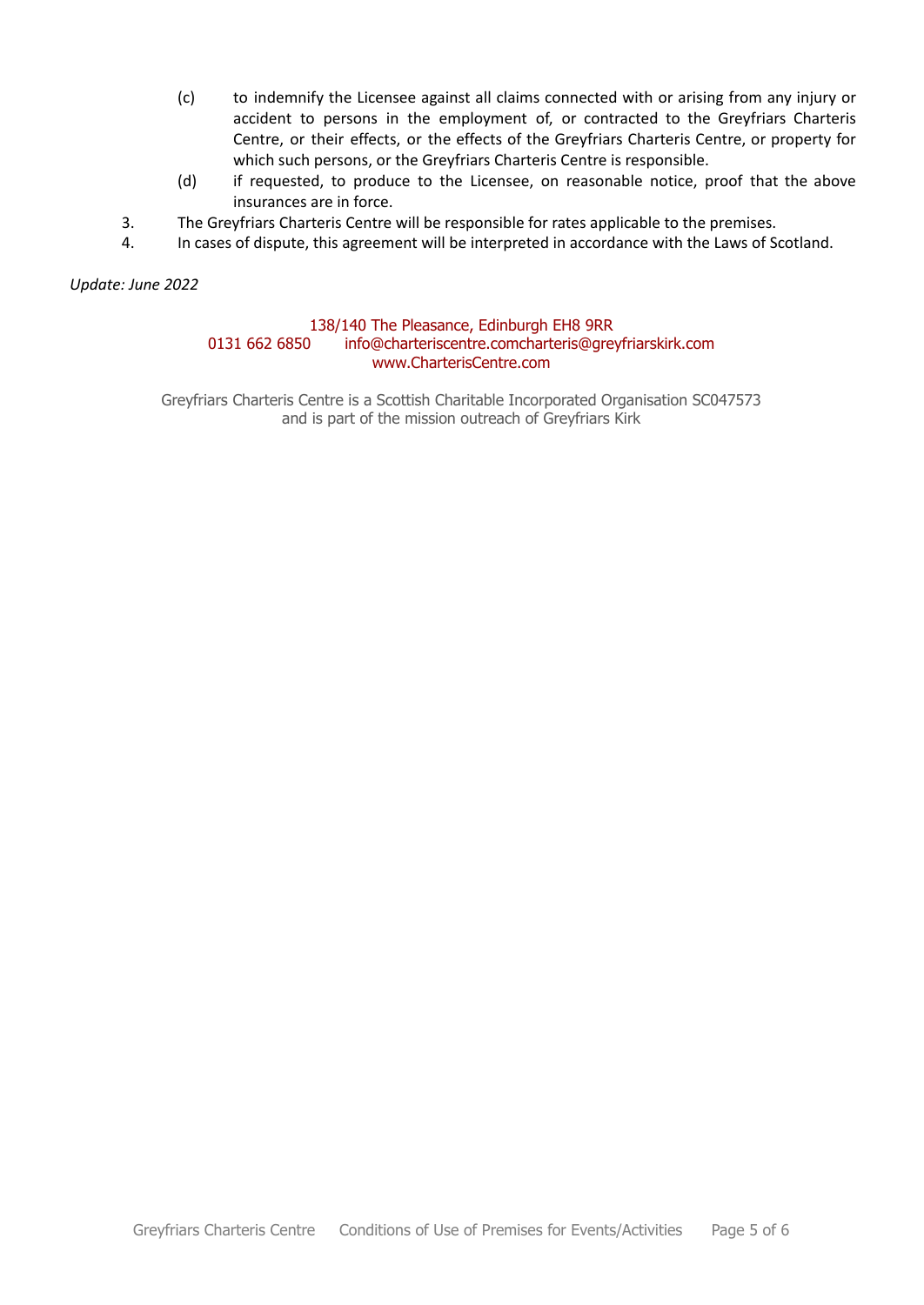- (c) to indemnify the Licensee against all claims connected with or arising from any injury or accident to persons in the employment of, or contracted to the Greyfriars Charteris Centre, or their effects, or the effects of the Greyfriars Charteris Centre, or property for which such persons, or the Greyfriars Charteris Centre is responsible.
- (d) if requested, to produce to the Licensee, on reasonable notice, proof that the above insurances are in force.
- 3. The Greyfriars Charteris Centre will be responsible for rates applicable to the premises.
- 4. In cases of dispute, this agreement will be interpreted in accordance with the Laws of Scotland.

*Update: June 2022*

#### 138/140 The Pleasance, Edinburgh EH8 9RR

#### 0131 662 6850 info@charteriscentre.comcharteris@greyfriarskirk.com www.CharterisCentre.com

Greyfriars Charteris Centre is a Scottish Charitable Incorporated Organisation SC047573 and is part of the mission outreach of Greyfriars Kirk